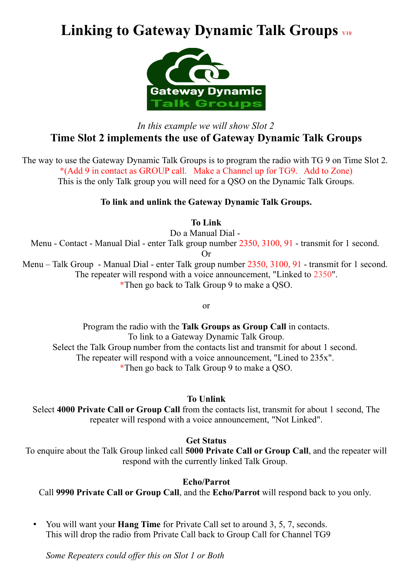# Linking to Gateway Dynamic Talk Groups  $_{\text{V10}}$



## *In this example we will show Slot 2* **Time Slot 2 implements the use of Gateway Dynamic Talk Groups**

The way to use the Gateway Dynamic Talk Groups is to program the radio with TG 9 on Time Slot 2. \*(Add 9 in contact as GROUP call. Make a Channel up for TG9. Add to Zone) This is the only Talk group you will need for a QSO on the Dynamic Talk Groups.

### **To link and unlink the Gateway Dynamic Talk Groups.**

**To Link**

Do a Manual Dial -

Menu - Contact - Manual Dial - enter Talk group number 2350, 3100, 91 - transmit for 1 second.

Or

Menu – Talk Group - Manual Dial - enter Talk group number 2350, 3100, 91 - transmit for 1 second. The repeater will respond with a voice announcement, "Linked to 2350". \*Then go back to Talk Group 9 to make a QSO.

or

Program the radio with the **Talk Groups as Group Call** in contacts. To link to a Gateway Dynamic Talk Group. Select the Talk Group number from the contacts list and transmit for about 1 second. The repeater will respond with a voice announcement. "Lined to 235x". \*Then go back to Talk Group 9 to make a QSO.

#### **To Unlink**

Select **4000 Private Call or Group Call** from the contacts list, transmit for about 1 second, The repeater will respond with a voice announcement, "Not Linked".

### **Get Status**

To enquire about the Talk Group linked call **5000 Private Call or Group Call**, and the repeater will respond with the currently linked Talk Group.

#### **Echo/Parrot**

Call **9990 Private Call or Group Call**, and the **Echo/Parrot** will respond back to you only.

• You will want your **Hang Time** for Private Call set to around 3, 5, 7, seconds. This will drop the radio from Private Call back to Group Call for Channel TG9

*Some Repeaters could offer this on Slot 1 or Both*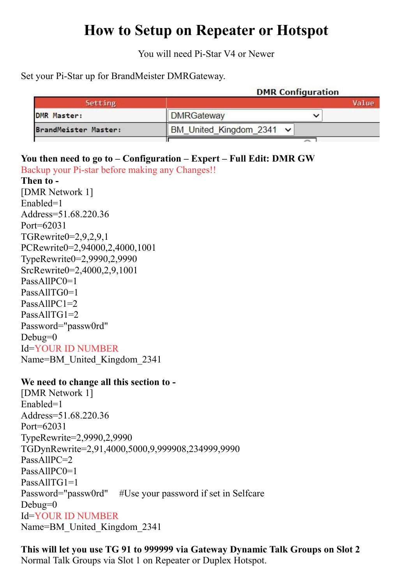# **How to Setup on Repeater or Hotspot**

You will need Pi-Star V4 or Newer

Set your Pi-Star up for BrandMeister DMRGateway.

|                      | <b>DMR</b> Configuration      |       |
|----------------------|-------------------------------|-------|
| Setting              |                               | Value |
| <b>DMR Master:</b>   | <b>DMRGateway</b>             |       |
| BrandMeister Master: | BM United Kingdom 2341 $\sim$ |       |
|                      |                               |       |

## **You then need to go to – Configuration – Expert – Full Edit: DMR GW**

Backup your Pi-star before making any Changes!!

**Then to -** [DMR Network 1] Enabled=1 Address=51.68.220.36 Port=62031 TGRewrite0=2,9,2,9,1 PCRewrite0=2,94000,2,4000,1001 TypeRewrite0=2,9990,2,9990 SrcRewrite0=2,4000,2,9,1001 PassAllPC0=1 PassAllTG0=1 PassAllPC1=2 PassAllTG1=2 Password="passw0rd" Debug=0 Id=YOUR ID NUMBER Name=BM\_United\_Kingdom\_2341

### **We need to change all this section to -**

[DMR Network 1] Enabled=1 Address=51.68.220.36 Port=62031 TypeRewrite=2,9990,2,9990 TGDynRewrite=2,91,4000,5000,9,999908,234999,9990 PassAllPC=2 PassAllPC0=1 PassAllTG1=1 Password="passw0rd" #Use your password if set in Selfcare Debug=0 Id=YOUR ID NUMBER Name=BM\_United\_Kingdom\_2341

**This will let you use TG 91 to 999999 via Gateway Dynamic Talk Groups on Slot 2** Normal Talk Groups via Slot 1 on Repeater or Duplex Hotspot.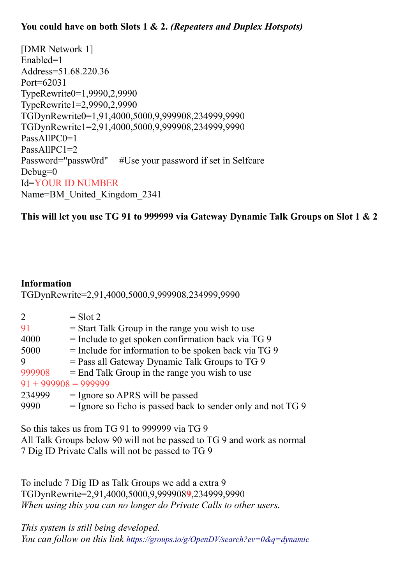## **You could have on both Slots 1 & 2.** *(Repeaters and Duplex Hotspots)*

[DMR Network 1] Enabled=1 Address=51.68.220.36 Port=62031 TypeRewrite0=1,9990,2,9990 TypeRewrite1=2,9990,2,9990 TGDynRewrite0=1,91,4000,5000,9,999908,234999,9990 TGDynRewrite1=2,91,4000,5000,9,999908,234999,9990 PassAllPC0=1 PassAllPC1=2 Password="passw0rd" #Use your password if set in Selfcare Debug=0 Id=YOUR ID NUMBER Name=BM\_United\_Kingdom\_2341

**This will let you use TG 91 to 999999 via Gateway Dynamic Talk Groups on Slot 1 & 2**

### **Information**

TGDynRewrite=2,91,4000,5000,9,999908,234999,9990

| $\overline{2}$         | $=$ Slot 2                                                    |  |
|------------------------|---------------------------------------------------------------|--|
| 91                     | $=$ Start Talk Group in the range you wish to use             |  |
| 4000                   | $=$ Include to get spoken confirmation back via TG 9          |  |
| 5000                   | $=$ Include for information to be spoken back via TG 9        |  |
| 9                      | $=$ Pass all Gateway Dynamic Talk Groups to TG 9              |  |
| 999908                 | $=$ End Talk Group in the range you wish to use               |  |
| $91 + 999908 = 999999$ |                                                               |  |
| 234999                 | $=$ Ignore so APRS will be passed                             |  |
| 9990                   | $=$ Ignore so Echo is passed back to sender only and not TG 9 |  |
|                        |                                                               |  |

So this takes us from TG 91 to 999999 via TG 9 All Talk Groups below 90 will not be passed to TG 9 and work as normal 7 Dig ID Private Calls will not be passed to TG 9

To include 7 Dig ID as Talk Groups we add a extra 9 TGDynRewrite=2,91,4000,5000,9,999908**9**,234999,9990 *When using this you can no longer do Private Calls to other users.* 

*This system is still being developed. You can follow on this link <https://groups.io/g/OpenDV/search?ev=0&q=dynamic>*